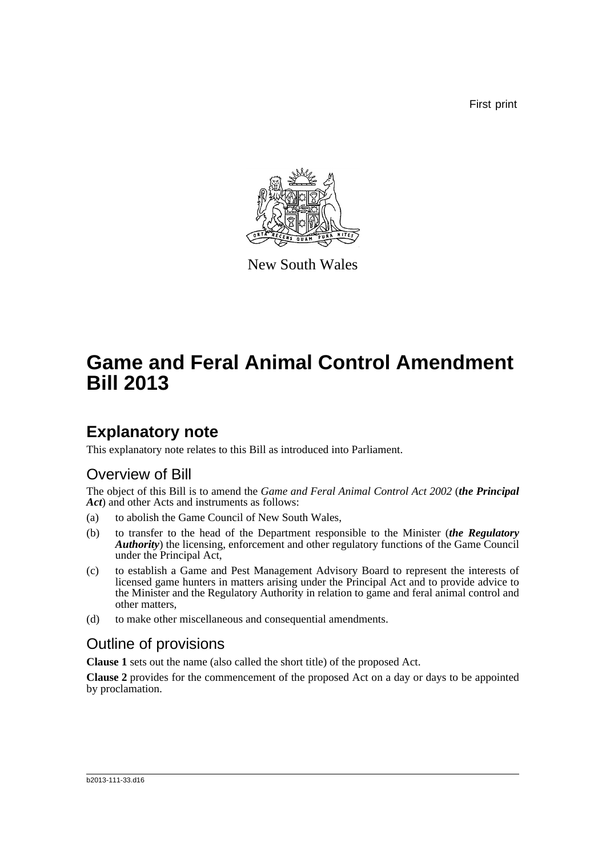First print



New South Wales

# **Game and Feral Animal Control Amendment Bill 2013**

## **Explanatory note**

This explanatory note relates to this Bill as introduced into Parliament.

### Overview of Bill

The object of this Bill is to amend the *Game and Feral Animal Control Act 2002* (*the Principal Act*) and other Acts and instruments as follows:

- (a) to abolish the Game Council of New South Wales,
- (b) to transfer to the head of the Department responsible to the Minister (*the Regulatory Authority*) the licensing, enforcement and other regulatory functions of the Game Council under the Principal Act,
- (c) to establish a Game and Pest Management Advisory Board to represent the interests of licensed game hunters in matters arising under the Principal Act and to provide advice to the Minister and the Regulatory Authority in relation to game and feral animal control and other matters,
- (d) to make other miscellaneous and consequential amendments.

### Outline of provisions

**Clause 1** sets out the name (also called the short title) of the proposed Act.

**Clause 2** provides for the commencement of the proposed Act on a day or days to be appointed by proclamation.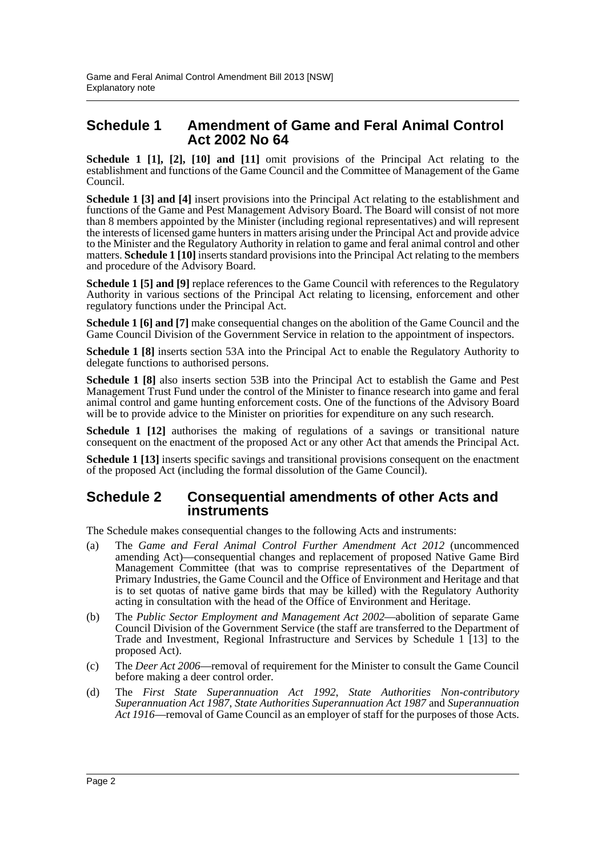#### **Schedule 1 Amendment of Game and Feral Animal Control Act 2002 No 64**

**Schedule 1 [1], [2], [10] and [11]** omit provisions of the Principal Act relating to the establishment and functions of the Game Council and the Committee of Management of the Game Council.

**Schedule 1 [3] and [4]** insert provisions into the Principal Act relating to the establishment and functions of the Game and Pest Management Advisory Board. The Board will consist of not more than 8 members appointed by the Minister (including regional representatives) and will represent the interests of licensed game hunters in matters arising under the Principal Act and provide advice to the Minister and the Regulatory Authority in relation to game and feral animal control and other matters. **Schedule 1 [10]** inserts standard provisions into the Principal Act relating to the members and procedure of the Advisory Board.

**Schedule 1 [5] and [9]** replace references to the Game Council with references to the Regulatory Authority in various sections of the Principal Act relating to licensing, enforcement and other regulatory functions under the Principal Act.

**Schedule 1 [6] and [7]** make consequential changes on the abolition of the Game Council and the Game Council Division of the Government Service in relation to the appointment of inspectors.

**Schedule 1 [8]** inserts section 53A into the Principal Act to enable the Regulatory Authority to delegate functions to authorised persons.

**Schedule 1 [8]** also inserts section 53B into the Principal Act to establish the Game and Pest Management Trust Fund under the control of the Minister to finance research into game and feral animal control and game hunting enforcement costs. One of the functions of the Advisory Board will be to provide advice to the Minister on priorities for expenditure on any such research.

**Schedule 1 [12]** authorises the making of regulations of a savings or transitional nature consequent on the enactment of the proposed Act or any other Act that amends the Principal Act.

**Schedule 1 [13]** inserts specific savings and transitional provisions consequent on the enactment of the proposed Act (including the formal dissolution of the Game Council).

#### **Schedule 2 Consequential amendments of other Acts and instruments**

The Schedule makes consequential changes to the following Acts and instruments:

- (a) The *Game and Feral Animal Control Further Amendment Act 2012* (uncommenced amending Act)—consequential changes and replacement of proposed Native Game Bird Management Committee (that was to comprise representatives of the Department of Primary Industries, the Game Council and the Office of Environment and Heritage and that is to set quotas of native game birds that may be killed) with the Regulatory Authority acting in consultation with the head of the Office of Environment and Heritage.
- (b) The *Public Sector Employment and Management Act 2002*—abolition of separate Game Council Division of the Government Service (the staff are transferred to the Department of Trade and Investment, Regional Infrastructure and Services by Schedule 1 [13] to the proposed Act).
- (c) The *Deer Act 2006*—removal of requirement for the Minister to consult the Game Council before making a deer control order.
- (d) The *First State Superannuation Act 1992*, *State Authorities Non-contributory Superannuation Act 1987*, *State Authorities Superannuation Act 1987* and *Superannuation Act 1916*—removal of Game Council as an employer of staff for the purposes of those Acts.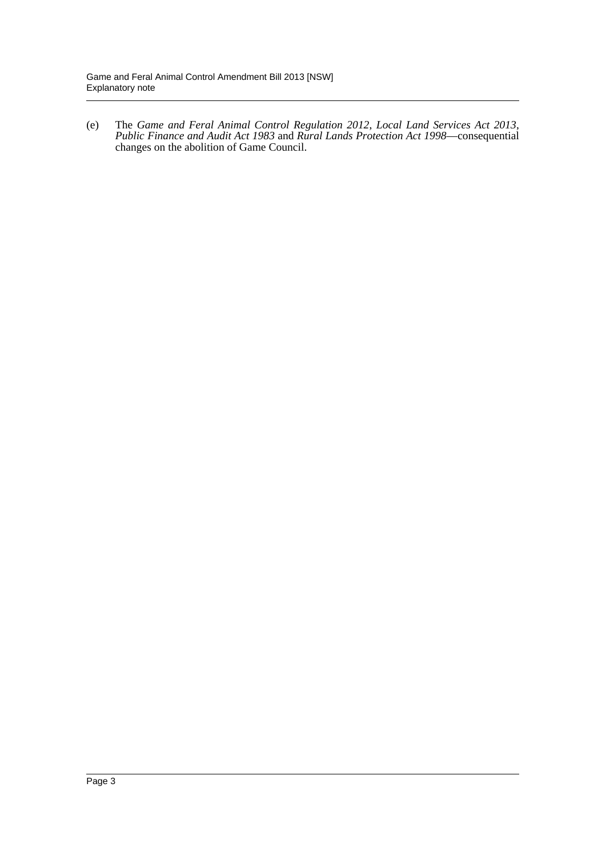(e) The *Game and Feral Animal Control Regulation 2012*, *Local Land Services Act 2013*, *Public Finance and Audit Act 1983* and *Rural Lands Protection Act 1998*—consequential changes on the abolition of Game Council.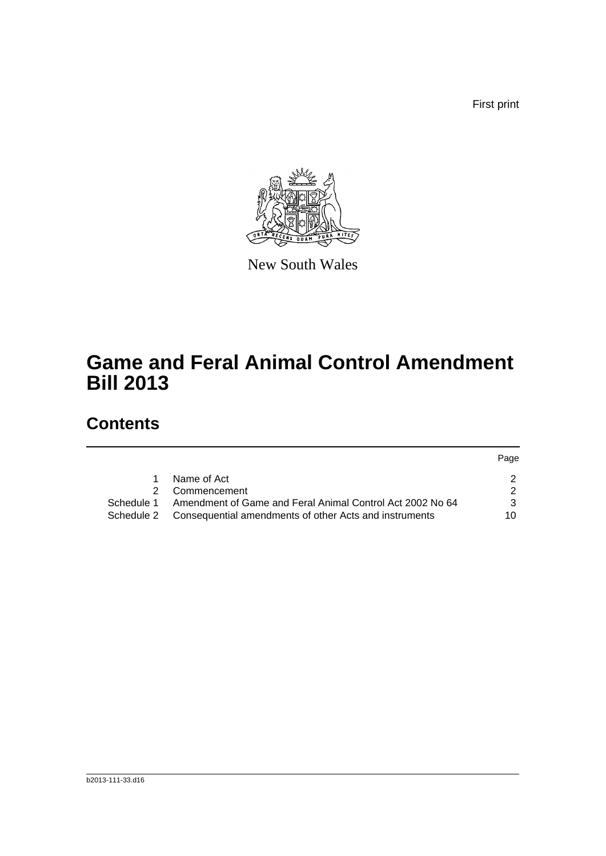First print



New South Wales

# **Game and Feral Animal Control Amendment Bill 2013**

## **Contents**

|            |                                                                   | Page |
|------------|-------------------------------------------------------------------|------|
| 1.         | Name of Act                                                       |      |
|            | Commencement                                                      |      |
| Schedule 1 | Amendment of Game and Feral Animal Control Act 2002 No 64         |      |
|            | Schedule 2 Consequential amendments of other Acts and instruments | 10   |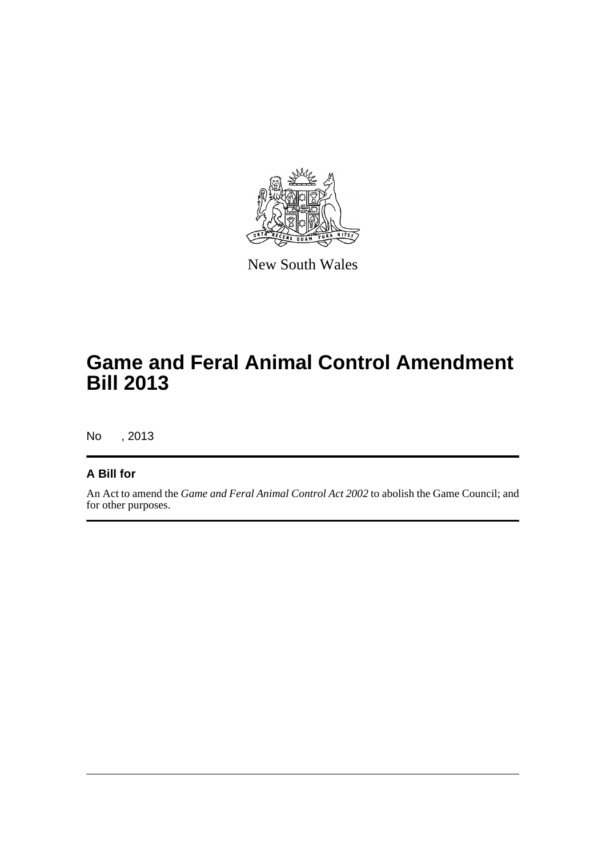

New South Wales

## **Game and Feral Animal Control Amendment Bill 2013**

No , 2013

#### **A Bill for**

An Act to amend the *Game and Feral Animal Control Act 2002* to abolish the Game Council; and for other purposes.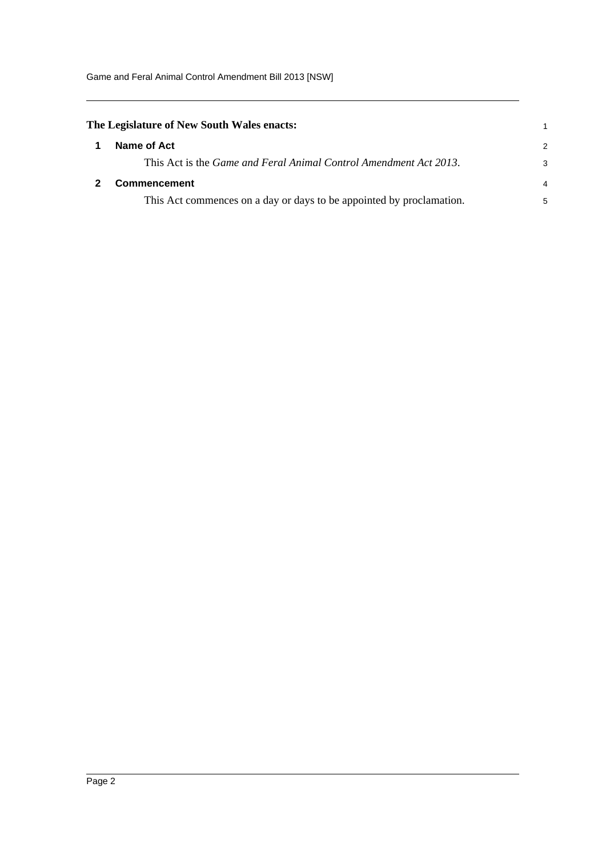<span id="page-5-1"></span><span id="page-5-0"></span>

| The Legislature of New South Wales enacts: |                                                                           |               |
|--------------------------------------------|---------------------------------------------------------------------------|---------------|
|                                            | Name of Act                                                               | $\mathcal{P}$ |
|                                            | This Act is the <i>Game and Feral Animal Control Amendment Act 2013</i> . | 3             |
|                                            | <b>Commencement</b>                                                       | 4             |
|                                            | This Act commences on a day or days to be appointed by proclamation.      | 5             |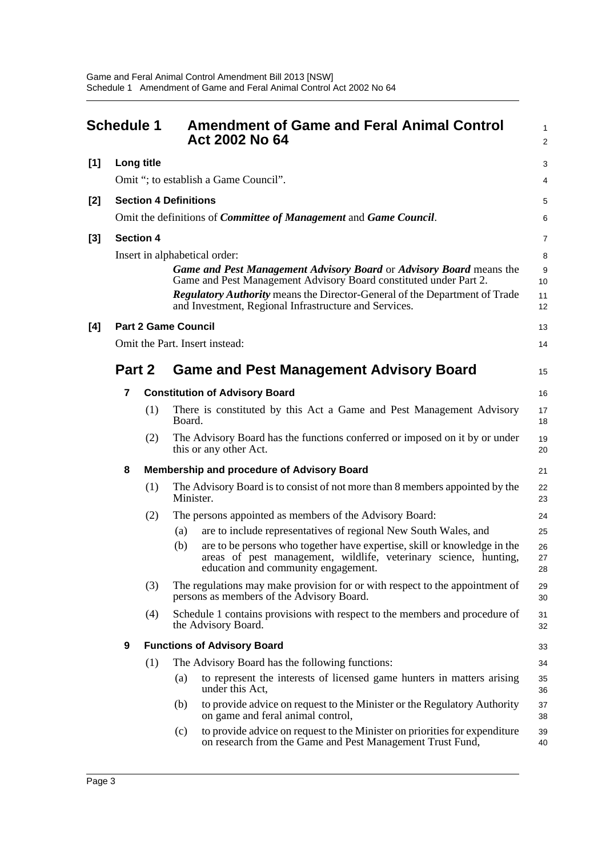<span id="page-6-0"></span>

|       | <b>Schedule 1</b> |                  |                              | <b>Amendment of Game and Feral Animal Control</b><br>Act 2002 No 64                                                                                                                                                                                                                                                     | $\mathbf{1}$<br>$\overline{2}$ |
|-------|-------------------|------------------|------------------------------|-------------------------------------------------------------------------------------------------------------------------------------------------------------------------------------------------------------------------------------------------------------------------------------------------------------------------|--------------------------------|
| $[1]$ |                   | Long title       |                              |                                                                                                                                                                                                                                                                                                                         | 3                              |
|       |                   |                  |                              | Omit "; to establish a Game Council".                                                                                                                                                                                                                                                                                   | 4                              |
| $[2]$ |                   |                  | <b>Section 4 Definitions</b> |                                                                                                                                                                                                                                                                                                                         | 5                              |
|       |                   |                  |                              | Omit the definitions of <i>Committee of Management</i> and <i>Game Council</i> .                                                                                                                                                                                                                                        | 6                              |
| $[3]$ |                   | <b>Section 4</b> |                              |                                                                                                                                                                                                                                                                                                                         | $\overline{7}$                 |
|       |                   |                  |                              | Insert in alphabetical order:<br>Game and Pest Management Advisory Board or Advisory Board means the<br>Game and Pest Management Advisory Board constituted under Part 2.<br><b>Regulatory Authority</b> means the Director-General of the Department of Trade<br>and Investment, Regional Infrastructure and Services. | 8<br>9<br>10<br>11<br>12       |
| [4]   |                   |                  | <b>Part 2 Game Council</b>   |                                                                                                                                                                                                                                                                                                                         | 13                             |
|       |                   |                  |                              | Omit the Part. Insert instead:                                                                                                                                                                                                                                                                                          | 14                             |
|       | Part 2            |                  |                              | <b>Game and Pest Management Advisory Board</b>                                                                                                                                                                                                                                                                          | 15                             |
|       | 7                 |                  |                              | <b>Constitution of Advisory Board</b>                                                                                                                                                                                                                                                                                   | 16                             |
|       |                   | (1)              | Board.                       | There is constituted by this Act a Game and Pest Management Advisory                                                                                                                                                                                                                                                    | 17<br>18                       |
|       |                   | (2)              |                              | The Advisory Board has the functions conferred or imposed on it by or under<br>this or any other Act.                                                                                                                                                                                                                   | 19<br>20                       |
|       | 8                 |                  |                              | Membership and procedure of Advisory Board                                                                                                                                                                                                                                                                              | 21                             |
|       |                   | (1)              | Minister.                    | The Advisory Board is to consist of not more than 8 members appointed by the                                                                                                                                                                                                                                            | 22<br>23                       |
|       |                   | (2)              | (a)                          | The persons appointed as members of the Advisory Board:<br>are to include representatives of regional New South Wales, and                                                                                                                                                                                              | 24<br>25                       |
|       |                   |                  | (b)                          | are to be persons who together have expertise, skill or knowledge in the<br>areas of pest management, wildlife, veterinary science, hunting,<br>education and community engagement.                                                                                                                                     | 26<br>27<br>28                 |
|       |                   | (3)              |                              | The regulations may make provision for or with respect to the appointment of<br>persons as members of the Advisory Board.                                                                                                                                                                                               | 29<br>30                       |
|       |                   | (4)              |                              | Schedule 1 contains provisions with respect to the members and procedure of<br>the Advisory Board.                                                                                                                                                                                                                      | 31<br>32                       |
|       | 9                 |                  |                              | <b>Functions of Advisory Board</b>                                                                                                                                                                                                                                                                                      | 33                             |
|       |                   | (1)              |                              | The Advisory Board has the following functions:                                                                                                                                                                                                                                                                         | 34                             |
|       |                   |                  | (a)                          | to represent the interests of licensed game hunters in matters arising<br>under this Act,                                                                                                                                                                                                                               | 35<br>36                       |
|       |                   |                  | (b)                          | to provide advice on request to the Minister or the Regulatory Authority<br>on game and feral animal control,                                                                                                                                                                                                           | 37<br>38                       |
|       |                   |                  | (c)                          | to provide advice on request to the Minister on priorities for expenditure<br>on research from the Game and Pest Management Trust Fund,                                                                                                                                                                                 | 39<br>40                       |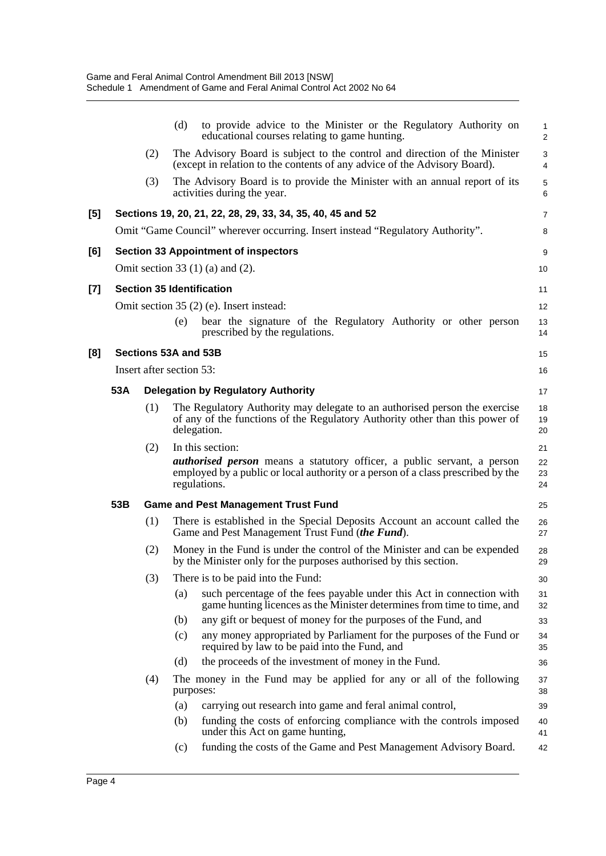|     |     |     | (d)<br>to provide advice to the Minister or the Regulatory Authority on<br>educational courses relating to game hunting.                                                           | 1<br>$\overline{2}$ |
|-----|-----|-----|------------------------------------------------------------------------------------------------------------------------------------------------------------------------------------|---------------------|
|     |     | (2) | The Advisory Board is subject to the control and direction of the Minister<br>(except in relation to the contents of any advice of the Advisory Board).                            | 3<br>4              |
|     |     | (3) | The Advisory Board is to provide the Minister with an annual report of its<br>activities during the year.                                                                          | $\mathbf 5$<br>6    |
| [5] |     |     | Sections 19, 20, 21, 22, 28, 29, 33, 34, 35, 40, 45 and 52                                                                                                                         | 7                   |
|     |     |     | Omit "Game Council" wherever occurring. Insert instead "Regulatory Authority".                                                                                                     | 8                   |
| [6] |     |     | <b>Section 33 Appointment of inspectors</b>                                                                                                                                        | 9                   |
|     |     |     | Omit section 33 $(1)$ (a) and $(2)$ .                                                                                                                                              | 10                  |
| [7] |     |     | <b>Section 35 Identification</b>                                                                                                                                                   | 11                  |
|     |     |     | Omit section 35 (2) (e). Insert instead:                                                                                                                                           | 12                  |
|     |     |     | bear the signature of the Regulatory Authority or other person<br>(e)<br>prescribed by the regulations.                                                                            | 13<br>14            |
| [8] |     |     | Sections 53A and 53B                                                                                                                                                               | 15                  |
|     |     |     | Insert after section 53:                                                                                                                                                           | 16                  |
|     | 53A |     | <b>Delegation by Regulatory Authority</b>                                                                                                                                          | 17                  |
|     |     | (1) | The Regulatory Authority may delegate to an authorised person the exercise<br>of any of the functions of the Regulatory Authority other than this power of<br>delegation.          | 18<br>19<br>20      |
|     |     | (2) | In this section:                                                                                                                                                                   | 21                  |
|     |     |     | <i>authorised person</i> means a statutory officer, a public servant, a person<br>employed by a public or local authority or a person of a class prescribed by the<br>regulations. | 22<br>23<br>24      |
|     | 53B |     | <b>Game and Pest Management Trust Fund</b>                                                                                                                                         | 25                  |
|     |     | (1) | There is established in the Special Deposits Account an account called the<br>Game and Pest Management Trust Fund (the Fund).                                                      | 26<br>27            |
|     |     | (2) | Money in the Fund is under the control of the Minister and can be expended<br>by the Minister only for the purposes authorised by this section.                                    | 28<br>29            |
|     |     | (3) | There is to be paid into the Fund:                                                                                                                                                 | 30                  |
|     |     |     | such percentage of the fees payable under this Act in connection with<br>(a)<br>game hunting licences as the Minister determines from time to time, and                            | 31<br>32            |
|     |     |     | any gift or bequest of money for the purposes of the Fund, and<br>(b)                                                                                                              | 33                  |
|     |     |     | any money appropriated by Parliament for the purposes of the Fund or<br>(c)<br>required by law to be paid into the Fund, and                                                       | 34<br>35            |
|     |     |     | the proceeds of the investment of money in the Fund.<br>(d)                                                                                                                        | 36                  |
|     |     | (4) | The money in the Fund may be applied for any or all of the following<br>purposes:                                                                                                  | 37<br>38            |
|     |     |     | carrying out research into game and feral animal control,<br>(a)                                                                                                                   | 39                  |
|     |     |     | funding the costs of enforcing compliance with the controls imposed<br>(b)<br>under this Act on game hunting,                                                                      | 40<br>41            |
|     |     |     | funding the costs of the Game and Pest Management Advisory Board.<br>(c)                                                                                                           | 42                  |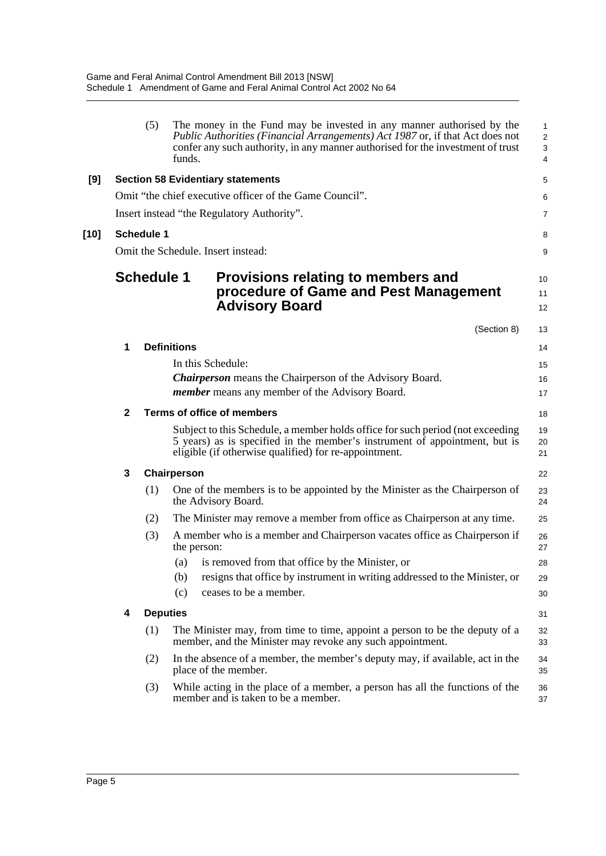|        |              | (5)               | funds.             | The money in the Fund may be invested in any manner authorised by the<br>Public Authorities (Financial Arrangements) Act 1987 or, if that Act does not<br>confer any such authority, in any manner authorised for the investment of trust | 1<br>$\overline{\mathbf{c}}$<br>3<br>4 |
|--------|--------------|-------------------|--------------------|-------------------------------------------------------------------------------------------------------------------------------------------------------------------------------------------------------------------------------------------|----------------------------------------|
| [9]    |              |                   |                    | <b>Section 58 Evidentiary statements</b>                                                                                                                                                                                                  | 5                                      |
|        |              |                   |                    | Omit "the chief executive officer of the Game Council".                                                                                                                                                                                   | 6                                      |
|        |              |                   |                    | Insert instead "the Regulatory Authority".                                                                                                                                                                                                | 7                                      |
| $[10]$ |              | <b>Schedule 1</b> |                    |                                                                                                                                                                                                                                           | 8                                      |
|        |              |                   |                    | Omit the Schedule. Insert instead:                                                                                                                                                                                                        | 9                                      |
|        |              | <b>Schedule 1</b> |                    | Provisions relating to members and<br>procedure of Game and Pest Management<br><b>Advisory Board</b>                                                                                                                                      | 10<br>11<br>12                         |
|        |              |                   |                    | (Section 8)                                                                                                                                                                                                                               | 13                                     |
|        | 1            |                   | <b>Definitions</b> |                                                                                                                                                                                                                                           | 14                                     |
|        |              |                   |                    | In this Schedule:                                                                                                                                                                                                                         | 15                                     |
|        |              |                   |                    | <b>Chairperson</b> means the Chairperson of the Advisory Board.                                                                                                                                                                           | 16                                     |
|        |              |                   |                    | <i>member</i> means any member of the Advisory Board.                                                                                                                                                                                     | 17                                     |
|        | $\mathbf{2}$ |                   |                    | Terms of office of members                                                                                                                                                                                                                | 18                                     |
|        |              |                   |                    | Subject to this Schedule, a member holds office for such period (not exceeding<br>5 years) as is specified in the member's instrument of appointment, but is<br>eligible (if otherwise qualified) for re-appointment.                     | 19<br>20<br>21                         |
|        | 3            |                   | Chairperson        |                                                                                                                                                                                                                                           | 22                                     |
|        |              | (1)               |                    | One of the members is to be appointed by the Minister as the Chairperson of<br>the Advisory Board.                                                                                                                                        | 23<br>24                               |
|        |              | (2)               |                    | The Minister may remove a member from office as Chairperson at any time.                                                                                                                                                                  | 25                                     |
|        |              | (3)               | the person:        | A member who is a member and Chairperson vacates office as Chairperson if                                                                                                                                                                 | 26<br>27                               |
|        |              |                   | (a)                | is removed from that office by the Minister, or                                                                                                                                                                                           | 28                                     |
|        |              |                   | (b)                | resigns that office by instrument in writing addressed to the Minister, or                                                                                                                                                                | 29                                     |
|        |              |                   | (c)                | ceases to be a member.                                                                                                                                                                                                                    | 30                                     |
|        | 4            | <b>Deputies</b>   |                    |                                                                                                                                                                                                                                           | 31                                     |
|        |              | (1)               |                    | The Minister may, from time to time, appoint a person to be the deputy of a<br>member, and the Minister may revoke any such appointment.                                                                                                  | 32<br>33                               |
|        |              | (2)               |                    | In the absence of a member, the member's deputy may, if available, act in the<br>place of the member.                                                                                                                                     | 34<br>35                               |
|        |              | (3)               |                    | While acting in the place of a member, a person has all the functions of the<br>member and is taken to be a member.                                                                                                                       | 36<br>37                               |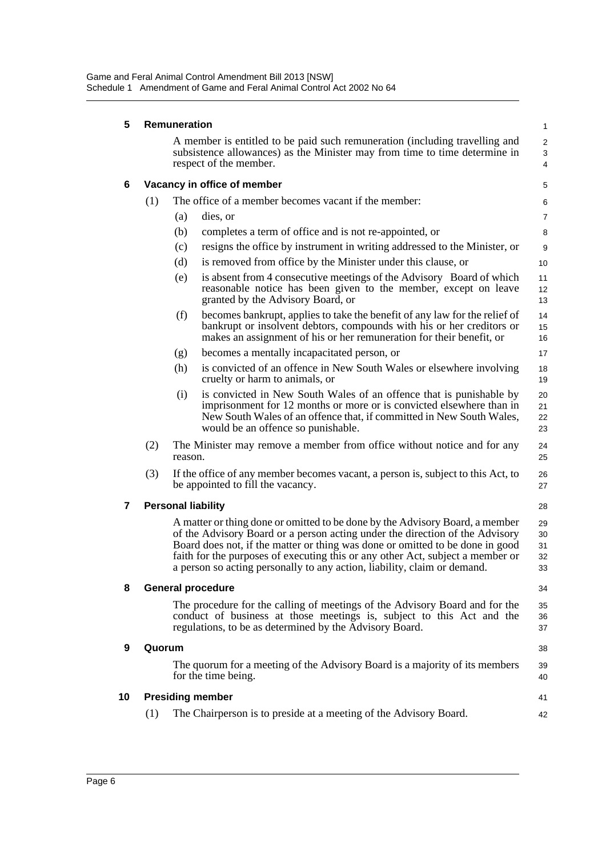| 5  |        | Remuneration |                                                                                                                                                                                                                                                                                                                                                                                                             | $\mathbf{1}$               |
|----|--------|--------------|-------------------------------------------------------------------------------------------------------------------------------------------------------------------------------------------------------------------------------------------------------------------------------------------------------------------------------------------------------------------------------------------------------------|----------------------------|
|    |        |              | A member is entitled to be paid such remuneration (including travelling and<br>subsistence allowances) as the Minister may from time to time determine in<br>respect of the member.                                                                                                                                                                                                                         | 2<br>3<br>4                |
| 6  |        |              | Vacancy in office of member                                                                                                                                                                                                                                                                                                                                                                                 | 5                          |
|    | (1)    |              | The office of a member becomes vacant if the member:                                                                                                                                                                                                                                                                                                                                                        | 6                          |
|    |        | (a)          | dies, or                                                                                                                                                                                                                                                                                                                                                                                                    | $\overline{7}$             |
|    |        | (b)          | completes a term of office and is not re-appointed, or                                                                                                                                                                                                                                                                                                                                                      | 8                          |
|    |        | (c)          | resigns the office by instrument in writing addressed to the Minister, or                                                                                                                                                                                                                                                                                                                                   | 9                          |
|    |        | (d)          | is removed from office by the Minister under this clause, or                                                                                                                                                                                                                                                                                                                                                | 10                         |
|    |        | (e)          | is absent from 4 consecutive meetings of the Advisory Board of which<br>reasonable notice has been given to the member, except on leave<br>granted by the Advisory Board, or                                                                                                                                                                                                                                | 11<br>12<br>13             |
|    |        | (f)          | becomes bankrupt, applies to take the benefit of any law for the relief of<br>bankrupt or insolvent debtors, compounds with his or her creditors or<br>makes an assignment of his or her remuneration for their benefit, or                                                                                                                                                                                 | 14<br>15<br>16             |
|    |        | (g)          | becomes a mentally incapacitated person, or                                                                                                                                                                                                                                                                                                                                                                 | 17                         |
|    |        | (h)          | is convicted of an offence in New South Wales or elsewhere involving<br>cruelty or harm to animals, or                                                                                                                                                                                                                                                                                                      | 18<br>19                   |
|    |        | (i)          | is convicted in New South Wales of an offence that is punishable by<br>imprisonment for 12 months or more or is convicted elsewhere than in<br>New South Wales of an offence that, if committed in New South Wales,<br>would be an offence so punishable.                                                                                                                                                   | 20<br>21<br>22<br>23       |
|    | (2)    | reason.      | The Minister may remove a member from office without notice and for any                                                                                                                                                                                                                                                                                                                                     | 24<br>25                   |
|    | (3)    |              | If the office of any member becomes vacant, a person is, subject to this Act, to<br>be appointed to fill the vacancy.                                                                                                                                                                                                                                                                                       | 26<br>27                   |
| 7  |        |              | <b>Personal liability</b>                                                                                                                                                                                                                                                                                                                                                                                   | 28                         |
|    |        |              | A matter or thing done or omitted to be done by the Advisory Board, a member<br>of the Advisory Board or a person acting under the direction of the Advisory<br>Board does not, if the matter or thing was done or omitted to be done in good<br>faith for the purposes of executing this or any other Act, subject a member or<br>a person so acting personally to any action, liability, claim or demand. | 29<br>30<br>31<br>32<br>33 |
| 8  |        |              | <b>General procedure</b>                                                                                                                                                                                                                                                                                                                                                                                    | 34                         |
|    |        |              | The procedure for the calling of meetings of the Advisory Board and for the<br>conduct of business at those meetings is, subject to this Act and the<br>regulations, to be as determined by the Advisory Board.                                                                                                                                                                                             | 35<br>36<br>37             |
| 9  | Quorum |              |                                                                                                                                                                                                                                                                                                                                                                                                             | 38                         |
|    |        |              | The quorum for a meeting of the Advisory Board is a majority of its members<br>for the time being.                                                                                                                                                                                                                                                                                                          | 39<br>40                   |
| 10 |        |              | <b>Presiding member</b>                                                                                                                                                                                                                                                                                                                                                                                     | 41                         |
|    | (1)    |              | The Chairperson is to preside at a meeting of the Advisory Board.                                                                                                                                                                                                                                                                                                                                           | 42                         |
|    |        |              |                                                                                                                                                                                                                                                                                                                                                                                                             |                            |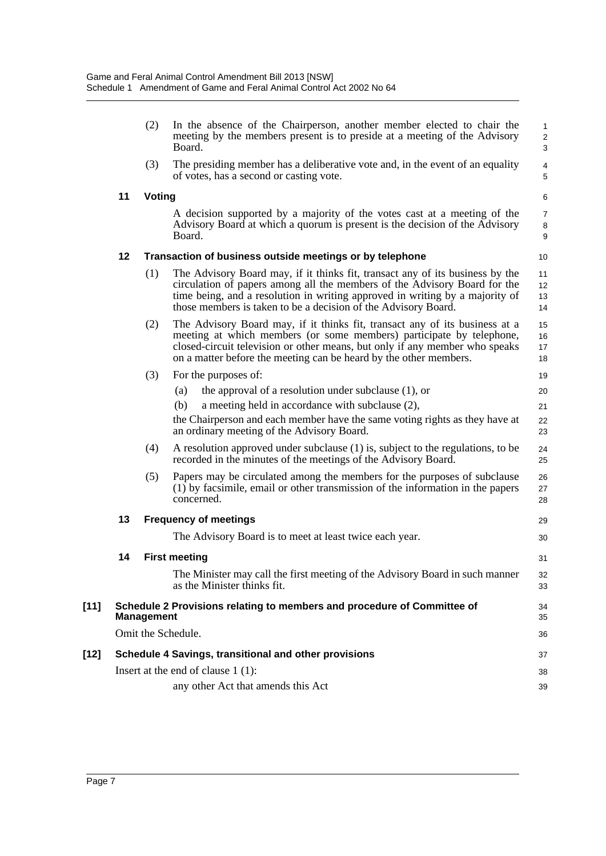|        |    | (2)               | In the absence of the Chairperson, another member elected to chair the<br>meeting by the members present is to preside at a meeting of the Advisory<br>Board.                                                                                                                                                | $\mathbf{1}$<br>$\overline{2}$<br>3 |
|--------|----|-------------------|--------------------------------------------------------------------------------------------------------------------------------------------------------------------------------------------------------------------------------------------------------------------------------------------------------------|-------------------------------------|
|        |    | (3)               | The presiding member has a deliberative vote and, in the event of an equality<br>of votes, has a second or casting vote.                                                                                                                                                                                     | $\overline{\mathbf{4}}$<br>5        |
|        | 11 | <b>Voting</b>     |                                                                                                                                                                                                                                                                                                              | 6                                   |
|        |    |                   | A decision supported by a majority of the votes cast at a meeting of the<br>Advisory Board at which a quorum is present is the decision of the Advisory<br>Board.                                                                                                                                            | $\overline{7}$<br>8<br>9            |
|        | 12 |                   | Transaction of business outside meetings or by telephone                                                                                                                                                                                                                                                     | 10                                  |
|        |    | (1)               | The Advisory Board may, if it thinks fit, transact any of its business by the<br>circulation of papers among all the members of the Advisory Board for the<br>time being, and a resolution in writing approved in writing by a majority of<br>those members is taken to be a decision of the Advisory Board. | 11<br>12 <sup>2</sup><br>13<br>14   |
|        |    | (2)               | The Advisory Board may, if it thinks fit, transact any of its business at a<br>meeting at which members (or some members) participate by telephone,<br>closed-circuit television or other means, but only if any member who speaks<br>on a matter before the meeting can be heard by the other members.      | 15<br>16<br>17<br>18                |
|        |    | (3)               | For the purposes of:                                                                                                                                                                                                                                                                                         | 19                                  |
|        |    |                   | the approval of a resolution under subclause $(1)$ , or<br>(a)                                                                                                                                                                                                                                               | 20                                  |
|        |    |                   | (b)<br>a meeting held in accordance with subclause (2),                                                                                                                                                                                                                                                      | 21                                  |
|        |    |                   | the Chairperson and each member have the same voting rights as they have at<br>an ordinary meeting of the Advisory Board.                                                                                                                                                                                    | 22<br>23                            |
|        |    | (4)               | A resolution approved under subclause (1) is, subject to the regulations, to be<br>recorded in the minutes of the meetings of the Advisory Board.                                                                                                                                                            | 24<br>25                            |
|        |    | (5)               | Papers may be circulated among the members for the purposes of subclause<br>(1) by facsimile, email or other transmission of the information in the papers<br>concerned.                                                                                                                                     | 26<br>27<br>28                      |
|        | 13 |                   | <b>Frequency of meetings</b>                                                                                                                                                                                                                                                                                 | 29                                  |
|        |    |                   | The Advisory Board is to meet at least twice each year.                                                                                                                                                                                                                                                      | 30                                  |
|        | 14 |                   | <b>First meeting</b>                                                                                                                                                                                                                                                                                         | 31                                  |
|        |    |                   | The Minister may call the first meeting of the Advisory Board in such manner<br>as the Minister thinks fit.                                                                                                                                                                                                  | 32<br>33                            |
| $[11]$ |    | <b>Management</b> | Schedule 2 Provisions relating to members and procedure of Committee of                                                                                                                                                                                                                                      | 34<br>35                            |
|        |    |                   | Omit the Schedule.                                                                                                                                                                                                                                                                                           | 36                                  |
| [12]   |    |                   | Schedule 4 Savings, transitional and other provisions                                                                                                                                                                                                                                                        | 37                                  |
|        |    |                   | Insert at the end of clause $1(1)$ :                                                                                                                                                                                                                                                                         | 38                                  |
|        |    |                   | any other Act that amends this Act                                                                                                                                                                                                                                                                           | 39                                  |
|        |    |                   |                                                                                                                                                                                                                                                                                                              |                                     |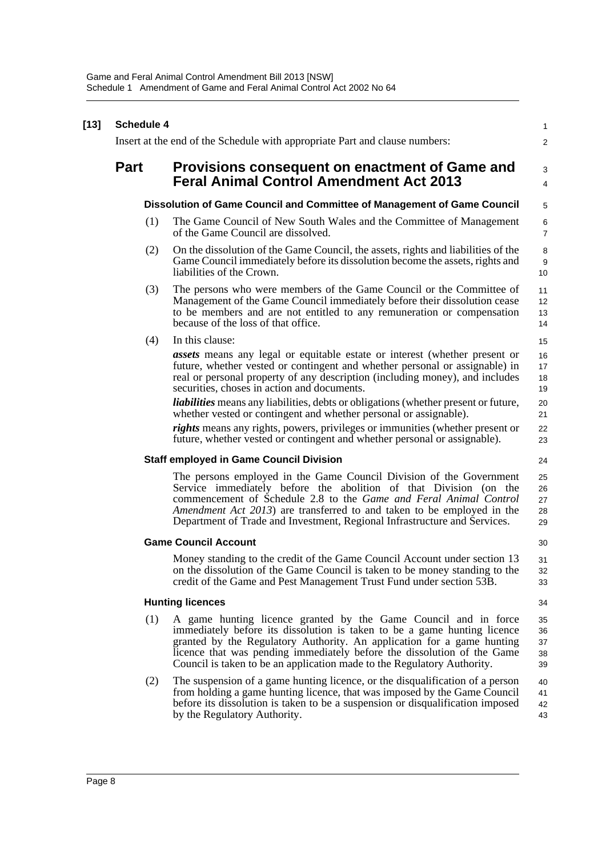| $[13]$ | <b>Schedule 4</b> |                                                                                                                                                                                                                                                                                                                                                                             | $\mathbf{1}$               |
|--------|-------------------|-----------------------------------------------------------------------------------------------------------------------------------------------------------------------------------------------------------------------------------------------------------------------------------------------------------------------------------------------------------------------------|----------------------------|
|        |                   | Insert at the end of the Schedule with appropriate Part and clause numbers:                                                                                                                                                                                                                                                                                                 | $\overline{2}$             |
|        | <b>Part</b>       | Provisions consequent on enactment of Game and<br><b>Feral Animal Control Amendment Act 2013</b>                                                                                                                                                                                                                                                                            | 3<br>$\overline{4}$        |
|        |                   | Dissolution of Game Council and Committee of Management of Game Council                                                                                                                                                                                                                                                                                                     | 5                          |
|        | (1)               | The Game Council of New South Wales and the Committee of Management<br>of the Game Council are dissolved.                                                                                                                                                                                                                                                                   | 6<br>$\overline{7}$        |
|        | (2)               | On the dissolution of the Game Council, the assets, rights and liabilities of the<br>Game Council immediately before its dissolution become the assets, rights and<br>liabilities of the Crown.                                                                                                                                                                             | 8<br>9<br>10               |
|        | (3)               | The persons who were members of the Game Council or the Committee of<br>Management of the Game Council immediately before their dissolution cease<br>to be members and are not entitled to any remuneration or compensation<br>because of the loss of that office.                                                                                                          | 11<br>12<br>13<br>14       |
|        | (4)               | In this clause:                                                                                                                                                                                                                                                                                                                                                             | 15                         |
|        |                   | <b>assets</b> means any legal or equitable estate or interest (whether present or<br>future, whether vested or contingent and whether personal or assignable) in<br>real or personal property of any description (including money), and includes<br>securities, choses in action and documents.                                                                             | 16<br>17<br>18<br>19       |
|        |                   | <i>liabilities</i> means any liabilities, debts or obligations (whether present or future,<br>whether vested or contingent and whether personal or assignable).                                                                                                                                                                                                             | 20<br>21                   |
|        |                   | <i>rights</i> means any rights, powers, privileges or immunities (whether present or<br>future, whether vested or contingent and whether personal or assignable).                                                                                                                                                                                                           | 22<br>23                   |
|        |                   | <b>Staff employed in Game Council Division</b>                                                                                                                                                                                                                                                                                                                              | 24                         |
|        |                   | The persons employed in the Game Council Division of the Government<br>Service immediately before the abolition of that Division (on the<br>commencement of Schedule 2.8 to the Game and Feral Animal Control<br>Amendment Act 2013) are transferred to and taken to be employed in the<br>Department of Trade and Investment, Regional Infrastructure and Services.        | 25<br>26<br>27<br>28<br>29 |
|        |                   | <b>Game Council Account</b>                                                                                                                                                                                                                                                                                                                                                 | 30                         |
|        |                   | Money standing to the credit of the Game Council Account under section 13<br>on the dissolution of the Game Council is taken to be money standing to the<br>credit of the Game and Pest Management Trust Fund under section 53B.                                                                                                                                            | 31<br>32<br>33             |
|        |                   | <b>Hunting licences</b>                                                                                                                                                                                                                                                                                                                                                     | 34                         |
|        | (1)               | A game hunting licence granted by the Game Council and in force<br>immediately before its dissolution is taken to be a game hunting licence<br>granted by the Regulatory Authority. An application for a game hunting<br>licence that was pending immediately before the dissolution of the Game<br>Council is taken to be an application made to the Regulatory Authority. | 35<br>36<br>37<br>38<br>39 |
|        | (2)               | The suspension of a game hunting licence, or the disqualification of a person<br>from holding a game hunting licence, that was imposed by the Game Council<br>before its dissolution is taken to be a suspension or disqualification imposed<br>by the Regulatory Authority.                                                                                                | 40<br>41<br>42<br>43       |
|        |                   |                                                                                                                                                                                                                                                                                                                                                                             |                            |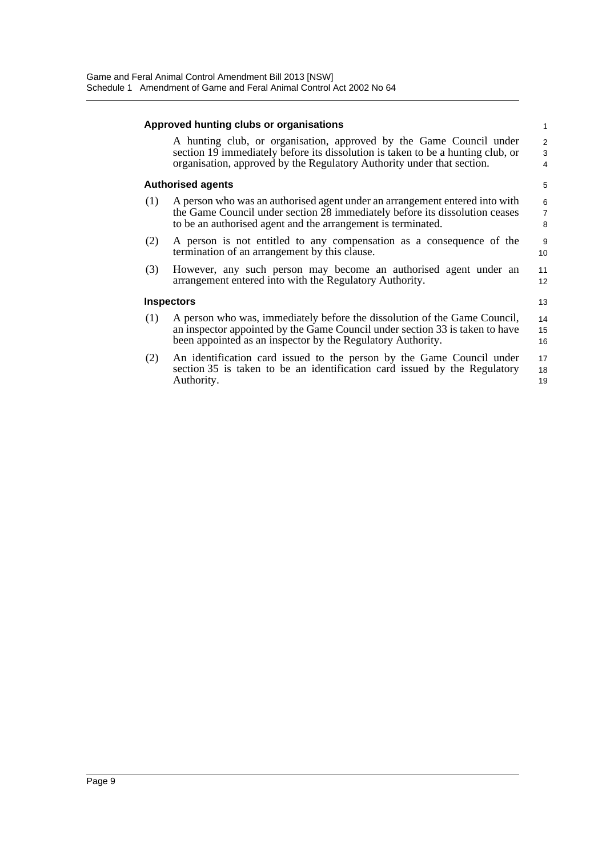|     | Approved hunting clubs or organisations                                                                                                                                                                                          | $\mathbf{1}$             |
|-----|----------------------------------------------------------------------------------------------------------------------------------------------------------------------------------------------------------------------------------|--------------------------|
|     | A hunting club, or organisation, approved by the Game Council under<br>section 19 immediately before its dissolution is taken to be a hunting club, or<br>organisation, approved by the Regulatory Authority under that section. | 2<br>3<br>$\overline{4}$ |
|     | <b>Authorised agents</b>                                                                                                                                                                                                         | 5                        |
| (1) | A person who was an authorised agent under an arrangement entered into with<br>the Game Council under section 28 immediately before its dissolution ceases<br>to be an authorised agent and the arrangement is terminated.       | 6<br>$\overline{7}$<br>8 |
| (2) | A person is not entitled to any compensation as a consequence of the<br>termination of an arrangement by this clause.                                                                                                            | 9<br>10 <sup>1</sup>     |
| (3) | However, any such person may become an authorised agent under an<br>arrangement entered into with the Regulatory Authority.                                                                                                      | 11<br>12                 |
|     | <b>Inspectors</b>                                                                                                                                                                                                                | 13                       |
| (1) | A person who was, immediately before the dissolution of the Game Council,<br>an inspector appointed by the Game Council under section 33 is taken to have<br>been appointed as an inspector by the Regulatory Authority.         | 14<br>15<br>16           |
| (2) | An identification card issued to the person by the Game Council under<br>section 35 is taken to be an identification card issued by the Regulatory<br>Authority.                                                                 | 17<br>18<br>19           |
|     |                                                                                                                                                                                                                                  |                          |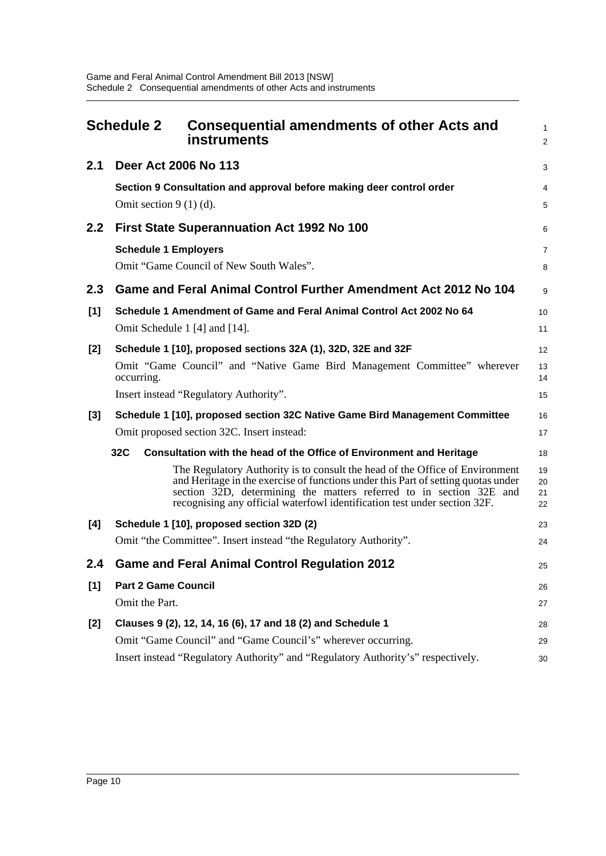<span id="page-13-0"></span>

| <b>Schedule 2</b> |                             | <b>Consequential amendments of other Acts and</b><br>instruments                                                                                                                                                                                                                                                      | 1<br>2               |
|-------------------|-----------------------------|-----------------------------------------------------------------------------------------------------------------------------------------------------------------------------------------------------------------------------------------------------------------------------------------------------------------------|----------------------|
| 2.1               | Deer Act 2006 No 113        |                                                                                                                                                                                                                                                                                                                       | 3                    |
|                   | Omit section $9(1)(d)$ .    | Section 9 Consultation and approval before making deer control order                                                                                                                                                                                                                                                  | 4<br>5               |
| 2.2               |                             | First State Superannuation Act 1992 No 100                                                                                                                                                                                                                                                                            | 6                    |
|                   | <b>Schedule 1 Employers</b> | Omit "Game Council of New South Wales".                                                                                                                                                                                                                                                                               | 7<br>8               |
| 2.3               |                             | Game and Feral Animal Control Further Amendment Act 2012 No 104                                                                                                                                                                                                                                                       | 9                    |
| [1]               |                             | Schedule 1 Amendment of Game and Feral Animal Control Act 2002 No 64                                                                                                                                                                                                                                                  | 10                   |
|                   |                             | Omit Schedule 1 [4] and [14].                                                                                                                                                                                                                                                                                         | 11                   |
| [2]               |                             | Schedule 1 [10], proposed sections 32A (1), 32D, 32E and 32F                                                                                                                                                                                                                                                          | 12                   |
|                   | occurring.                  | Omit "Game Council" and "Native Game Bird Management Committee" wherever                                                                                                                                                                                                                                              | 13<br>14             |
|                   |                             | Insert instead "Regulatory Authority".                                                                                                                                                                                                                                                                                | 15                   |
| $[3]$             |                             | Schedule 1 [10], proposed section 32C Native Game Bird Management Committee                                                                                                                                                                                                                                           | 16                   |
|                   |                             | Omit proposed section 32C. Insert instead:                                                                                                                                                                                                                                                                            | 17                   |
|                   | 32C                         | Consultation with the head of the Office of Environment and Heritage                                                                                                                                                                                                                                                  | 18                   |
|                   |                             | The Regulatory Authority is to consult the head of the Office of Environment<br>and Heritage in the exercise of functions under this Part of setting quotas under<br>section 32D, determining the matters referred to in section 32E and<br>recognising any official waterfowl identification test under section 32F. | 19<br>20<br>21<br>22 |
| [4]               |                             | Schedule 1 [10], proposed section 32D (2)                                                                                                                                                                                                                                                                             | 23                   |
|                   |                             | Omit "the Committee". Insert instead "the Regulatory Authority".                                                                                                                                                                                                                                                      | 24                   |
| 2.4               |                             | <b>Game and Feral Animal Control Regulation 2012</b>                                                                                                                                                                                                                                                                  | 25                   |
| $[1]$             | <b>Part 2 Game Council</b>  |                                                                                                                                                                                                                                                                                                                       | 26                   |
|                   | Omit the Part.              |                                                                                                                                                                                                                                                                                                                       | 27                   |
| $[2]$             |                             | Clauses 9 (2), 12, 14, 16 (6), 17 and 18 (2) and Schedule 1                                                                                                                                                                                                                                                           | 28                   |
|                   |                             | Omit "Game Council" and "Game Council's" wherever occurring.                                                                                                                                                                                                                                                          | 29                   |
|                   |                             | Insert instead "Regulatory Authority" and "Regulatory Authority's" respectively.                                                                                                                                                                                                                                      | 30                   |